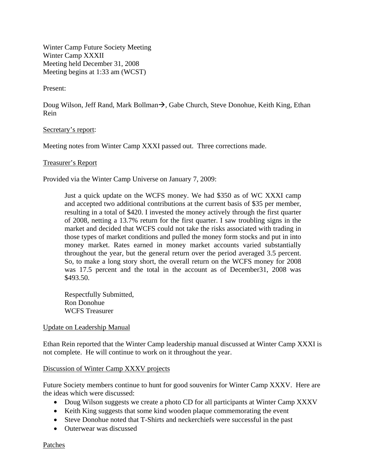Winter Camp Future Society Meeting Winter Camp XXXII Meeting held December 31, 2008 Meeting begins at 1:33 am (WCST)

Present:

Doug Wilson, Jeff Rand, Mark Bollman $\rightarrow$ , Gabe Church, Steve Donohue, Keith King, Ethan Rein

Secretary's report:

Meeting notes from Winter Camp XXXI passed out. Three corrections made.

### Treasurer's Report

Provided via the Winter Camp Universe on January 7, 2009:

Just a quick update on the WCFS money. We had \$350 as of WC XXXI camp and accepted two additional contributions at the current basis of \$35 per member, resulting in a total of \$420. I invested the money actively through the first quarter of 2008, netting a 13.7% return for the first quarter. I saw troubling signs in the market and decided that WCFS could not take the risks associated with trading in those types of market conditions and pulled the money form stocks and put in into money market. Rates earned in money market accounts varied substantially throughout the year, but the general return over the period averaged 3.5 percent. So, to make a long story short, the overall return on the WCFS money for 2008 was 17.5 percent and the total in the account as of December31, 2008 was \$493.50.

Respectfully Submitted, Ron Donohue WCFS Treasurer

### Update on Leadership Manual

Ethan Rein reported that the Winter Camp leadership manual discussed at Winter Camp XXXI is not complete. He will continue to work on it throughout the year.

### Discussion of Winter Camp XXXV projects

Future Society members continue to hunt for good souvenirs for Winter Camp XXXV. Here are the ideas which were discussed:

- Doug Wilson suggests we create a photo CD for all participants at Winter Camp XXXV
- Keith King suggests that some kind wooden plaque commemorating the event
- Steve Donohue noted that T-Shirts and neckerchiefs were successful in the past
- Outerwear was discussed

Patches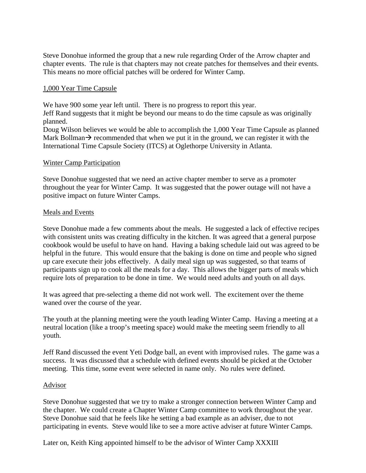Steve Donohue informed the group that a new rule regarding Order of the Arrow chapter and chapter events. The rule is that chapters may not create patches for themselves and their events. This means no more official patches will be ordered for Winter Camp.

### 1,000 Year Time Capsule

We have 900 some year left until. There is no progress to report this year. Jeff Rand suggests that it might be beyond our means to do the time capsule as was originally planned.

Doug Wilson believes we would be able to accomplish the 1,000 Year Time Capsule as planned Mark Bollman  $\rightarrow$  recommended that when we put it in the ground, we can register it with the International Time Capsule Society (ITCS) at Oglethorpe University in Atlanta.

### Winter Camp Participation

Steve Donohue suggested that we need an active chapter member to serve as a promoter throughout the year for Winter Camp. It was suggested that the power outage will not have a positive impact on future Winter Camps.

### Meals and Events

Steve Donohue made a few comments about the meals. He suggested a lack of effective recipes with consistent units was creating difficulty in the kitchen. It was agreed that a general purpose cookbook would be useful to have on hand. Having a baking schedule laid out was agreed to be helpful in the future. This would ensure that the baking is done on time and people who signed up care execute their jobs effectively. A daily meal sign up was suggested, so that teams of participants sign up to cook all the meals for a day. This allows the bigger parts of meals which require lots of preparation to be done in time. We would need adults and youth on all days.

It was agreed that pre-selecting a theme did not work well. The excitement over the theme waned over the course of the year.

The youth at the planning meeting were the youth leading Winter Camp. Having a meeting at a neutral location (like a troop's meeting space) would make the meeting seem friendly to all youth.

Jeff Rand discussed the event Yeti Dodge ball, an event with improvised rules. The game was a success. It was discussed that a schedule with defined events should be picked at the October meeting. This time, some event were selected in name only. No rules were defined.

### Advisor

Steve Donohue suggested that we try to make a stronger connection between Winter Camp and the chapter. We could create a Chapter Winter Camp committee to work throughout the year. Steve Donohue said that he feels like he setting a bad example as an adviser, due to not participating in events. Steve would like to see a more active adviser at future Winter Camps.

Later on, Keith King appointed himself to be the advisor of Winter Camp XXXIII